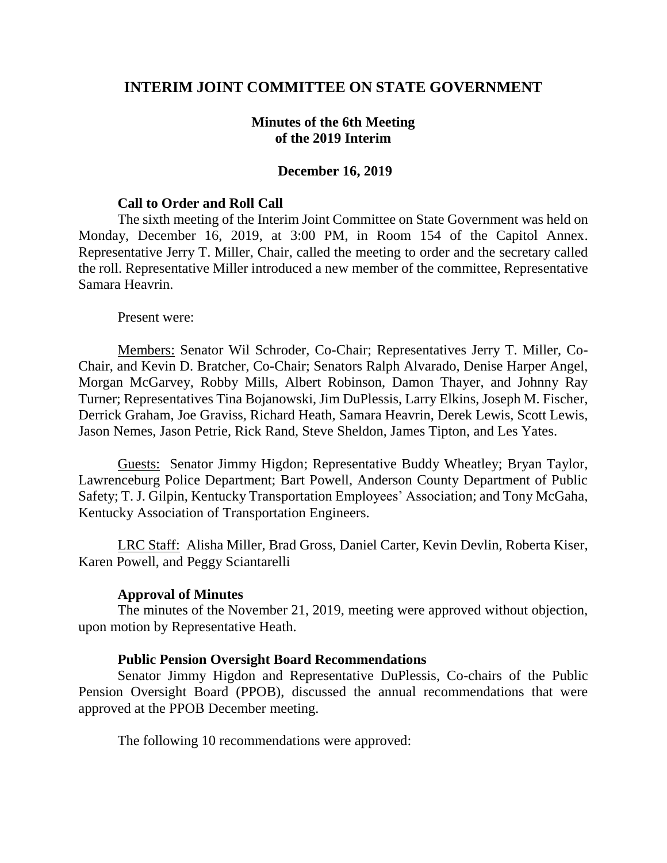## **INTERIM JOINT COMMITTEE ON STATE GOVERNMENT**

### **Minutes of the 6th Meeting of the 2019 Interim**

#### **December 16, 2019**

#### **Call to Order and Roll Call**

The sixth meeting of the Interim Joint Committee on State Government was held on Monday, December 16, 2019, at 3:00 PM, in Room 154 of the Capitol Annex. Representative Jerry T. Miller, Chair, called the meeting to order and the secretary called the roll. Representative Miller introduced a new member of the committee, Representative Samara Heavrin.

Present were:

Members: Senator Wil Schroder, Co-Chair; Representatives Jerry T. Miller, Co-Chair, and Kevin D. Bratcher, Co-Chair; Senators Ralph Alvarado, Denise Harper Angel, Morgan McGarvey, Robby Mills, Albert Robinson, Damon Thayer, and Johnny Ray Turner; Representatives Tina Bojanowski, Jim DuPlessis, Larry Elkins, Joseph M. Fischer, Derrick Graham, Joe Graviss, Richard Heath, Samara Heavrin, Derek Lewis, Scott Lewis, Jason Nemes, Jason Petrie, Rick Rand, Steve Sheldon, James Tipton, and Les Yates.

Guests: Senator Jimmy Higdon; Representative Buddy Wheatley; Bryan Taylor, Lawrenceburg Police Department; Bart Powell, Anderson County Department of Public Safety; T. J. Gilpin, Kentucky Transportation Employees' Association; and Tony McGaha, Kentucky Association of Transportation Engineers.

LRC Staff: Alisha Miller, Brad Gross, Daniel Carter, Kevin Devlin, Roberta Kiser, Karen Powell, and Peggy Sciantarelli

#### **Approval of Minutes**

The minutes of the November 21, 2019, meeting were approved without objection, upon motion by Representative Heath.

#### **Public Pension Oversight Board Recommendations**

Senator Jimmy Higdon and Representative DuPlessis, Co-chairs of the Public Pension Oversight Board (PPOB), discussed the annual recommendations that were approved at the PPOB December meeting.

The following 10 recommendations were approved: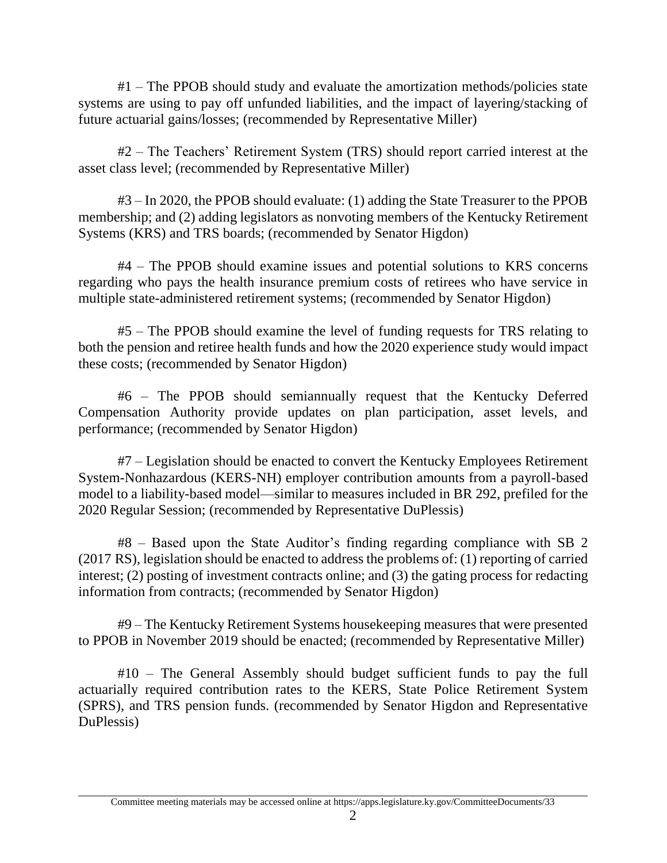#1 – The PPOB should study and evaluate the amortization methods/policies state systems are using to pay off unfunded liabilities, and the impact of layering/stacking of future actuarial gains/losses; (recommended by Representative Miller)

#2 – The Teachers' Retirement System (TRS) should report carried interest at the asset class level; (recommended by Representative Miller)

#3 – In 2020, the PPOB should evaluate: (1) adding the State Treasurer to the PPOB membership; and (2) adding legislators as nonvoting members of the Kentucky Retirement Systems (KRS) and TRS boards; (recommended by Senator Higdon)

#4 – The PPOB should examine issues and potential solutions to KRS concerns regarding who pays the health insurance premium costs of retirees who have service in multiple state-administered retirement systems; (recommended by Senator Higdon)

#5 – The PPOB should examine the level of funding requests for TRS relating to both the pension and retiree health funds and how the 2020 experience study would impact these costs; (recommended by Senator Higdon)

#6 – The PPOB should semiannually request that the Kentucky Deferred Compensation Authority provide updates on plan participation, asset levels, and performance; (recommended by Senator Higdon)

#7 – Legislation should be enacted to convert the Kentucky Employees Retirement System-Nonhazardous (KERS-NH) employer contribution amounts from a payroll-based model to a liability-based model—similar to measures included in BR 292, prefiled for the 2020 Regular Session; (recommended by Representative DuPlessis)

#8 – Based upon the State Auditor's finding regarding compliance with SB 2 (2017 RS), legislation should be enacted to address the problems of: (1) reporting of carried interest; (2) posting of investment contracts online; and (3) the gating process for redacting information from contracts; (recommended by Senator Higdon)

#9 – The Kentucky Retirement Systems housekeeping measures that were presented to PPOB in November 2019 should be enacted; (recommended by Representative Miller)

#10 – The General Assembly should budget sufficient funds to pay the full actuarially required contribution rates to the KERS, State Police Retirement System (SPRS), and TRS pension funds. (recommended by Senator Higdon and Representative DuPlessis)

Committee meeting materials may be accessed online at https://apps.legislature.ky.gov/CommitteeDocuments/33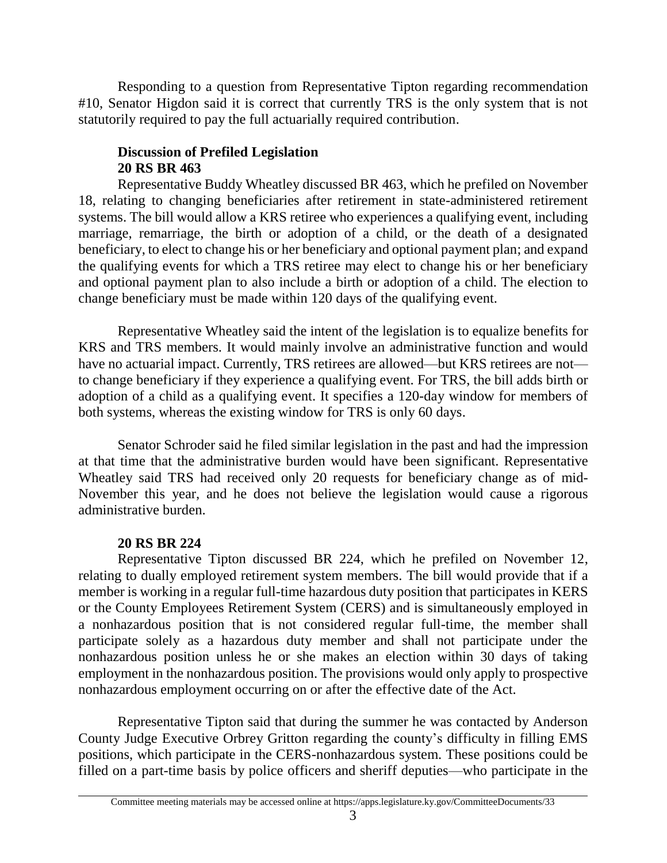Responding to a question from Representative Tipton regarding recommendation #10, Senator Higdon said it is correct that currently TRS is the only system that is not statutorily required to pay the full actuarially required contribution.

# **Discussion of Prefiled Legislation 20 RS BR 463**

Representative Buddy Wheatley discussed BR 463, which he prefiled on November 18, relating to changing beneficiaries after retirement in state-administered retirement systems. The bill would allow a KRS retiree who experiences a qualifying event, including marriage, remarriage, the birth or adoption of a child, or the death of a designated beneficiary, to elect to change his or her beneficiary and optional payment plan; and expand the qualifying events for which a TRS retiree may elect to change his or her beneficiary and optional payment plan to also include a birth or adoption of a child. The election to change beneficiary must be made within 120 days of the qualifying event.

Representative Wheatley said the intent of the legislation is to equalize benefits for KRS and TRS members. It would mainly involve an administrative function and would have no actuarial impact. Currently, TRS retirees are allowed—but KRS retirees are not to change beneficiary if they experience a qualifying event. For TRS, the bill adds birth or adoption of a child as a qualifying event. It specifies a 120-day window for members of both systems, whereas the existing window for TRS is only 60 days.

Senator Schroder said he filed similar legislation in the past and had the impression at that time that the administrative burden would have been significant. Representative Wheatley said TRS had received only 20 requests for beneficiary change as of mid-November this year, and he does not believe the legislation would cause a rigorous administrative burden.

# **20 RS BR 224**

Representative Tipton discussed BR 224, which he prefiled on November 12, relating to dually employed retirement system members. The bill would provide that if a member is working in a regular full-time hazardous duty position that participates in KERS or the County Employees Retirement System (CERS) and is simultaneously employed in a nonhazardous position that is not considered regular full-time, the member shall participate solely as a hazardous duty member and shall not participate under the nonhazardous position unless he or she makes an election within 30 days of taking employment in the nonhazardous position. The provisions would only apply to prospective nonhazardous employment occurring on or after the effective date of the Act.

Representative Tipton said that during the summer he was contacted by Anderson County Judge Executive Orbrey Gritton regarding the county's difficulty in filling EMS positions, which participate in the CERS-nonhazardous system. These positions could be filled on a part-time basis by police officers and sheriff deputies—who participate in the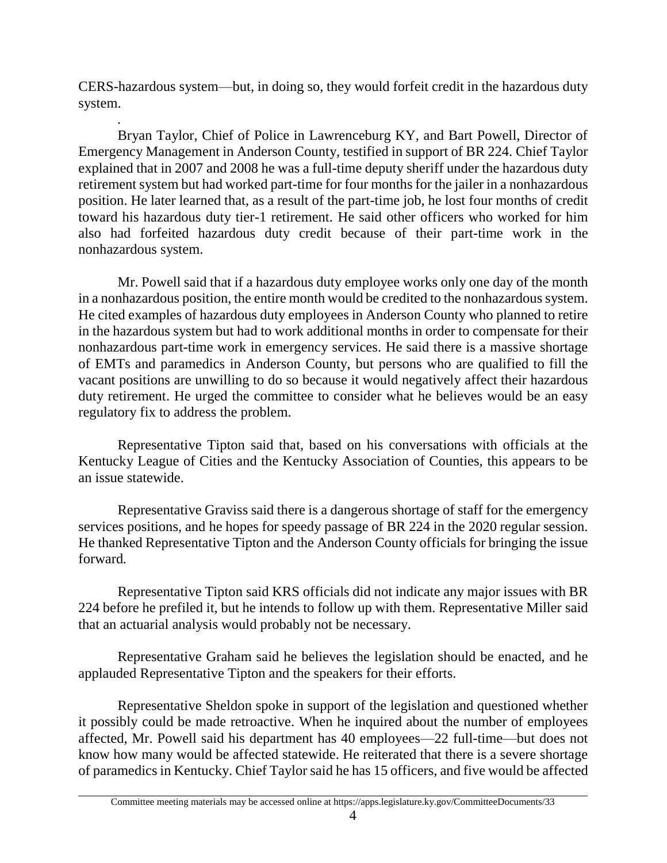CERS-hazardous system—but, in doing so, they would forfeit credit in the hazardous duty system.

*.* 

Bryan Taylor, Chief of Police in Lawrenceburg KY, and Bart Powell, Director of Emergency Management in Anderson County, testified in support of BR 224. Chief Taylor explained that in 2007 and 2008 he was a full-time deputy sheriff under the hazardous duty retirement system but had worked part-time for four months for the jailer in a nonhazardous position. He later learned that, as a result of the part-time job, he lost four months of credit toward his hazardous duty tier-1 retirement. He said other officers who worked for him also had forfeited hazardous duty credit because of their part-time work in the nonhazardous system.

Mr. Powell said that if a hazardous duty employee works only one day of the month in a nonhazardous position, the entire month would be credited to the nonhazardoussystem. He cited examples of hazardous duty employees in Anderson County who planned to retire in the hazardous system but had to work additional months in order to compensate for their nonhazardous part-time work in emergency services. He said there is a massive shortage of EMTs and paramedics in Anderson County, but persons who are qualified to fill the vacant positions are unwilling to do so because it would negatively affect their hazardous duty retirement. He urged the committee to consider what he believes would be an easy regulatory fix to address the problem.

Representative Tipton said that, based on his conversations with officials at the Kentucky League of Cities and the Kentucky Association of Counties, this appears to be an issue statewide.

Representative Graviss said there is a dangerous shortage of staff for the emergency services positions, and he hopes for speedy passage of BR 224 in the 2020 regular session. He thanked Representative Tipton and the Anderson County officials for bringing the issue forward*.*

Representative Tipton said KRS officials did not indicate any major issues with BR 224 before he prefiled it, but he intends to follow up with them. Representative Miller said that an actuarial analysis would probably not be necessary.

Representative Graham said he believes the legislation should be enacted, and he applauded Representative Tipton and the speakers for their efforts.

Representative Sheldon spoke in support of the legislation and questioned whether it possibly could be made retroactive. When he inquired about the number of employees affected, Mr. Powell said his department has 40 employees—22 full-time—but does not know how many would be affected statewide. He reiterated that there is a severe shortage of paramedics in Kentucky. Chief Taylor said he has 15 officers, and five would be affected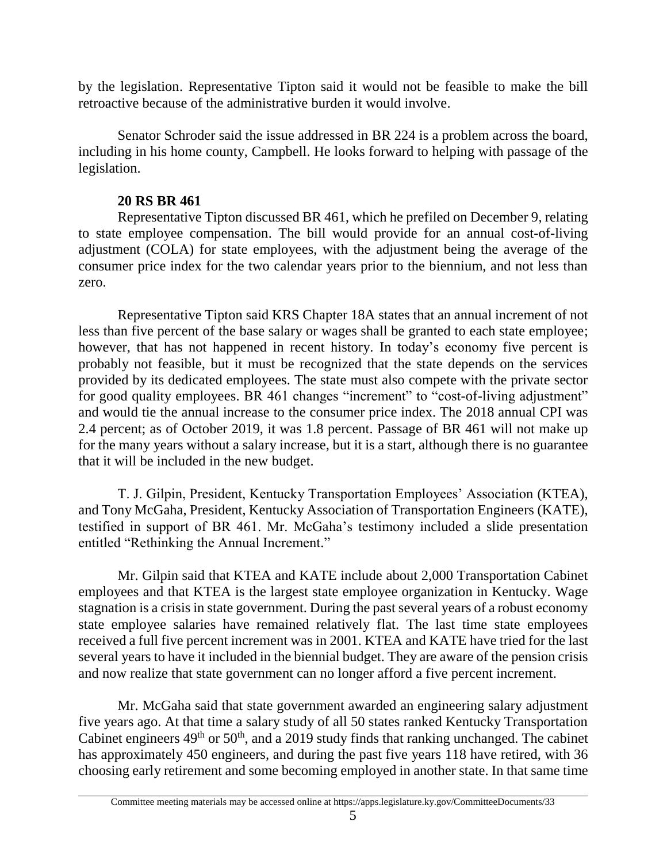by the legislation. Representative Tipton said it would not be feasible to make the bill retroactive because of the administrative burden it would involve.

Senator Schroder said the issue addressed in BR 224 is a problem across the board, including in his home county, Campbell. He looks forward to helping with passage of the legislation.

## **20 RS BR 461**

Representative Tipton discussed BR 461, which he prefiled on December 9, relating to state employee compensation. The bill would provide for an annual cost-of-living adjustment (COLA) for state employees, with the adjustment being the average of the consumer price index for the two calendar years prior to the biennium, and not less than zero.

Representative Tipton said KRS Chapter 18A states that an annual increment of not less than five percent of the base salary or wages shall be granted to each state employee; however, that has not happened in recent history. In today's economy five percent is probably not feasible, but it must be recognized that the state depends on the services provided by its dedicated employees. The state must also compete with the private sector for good quality employees. BR 461 changes "increment" to "cost-of-living adjustment" and would tie the annual increase to the consumer price index. The 2018 annual CPI was 2.4 percent; as of October 2019, it was 1.8 percent. Passage of BR 461 will not make up for the many years without a salary increase, but it is a start, although there is no guarantee that it will be included in the new budget.

T. J. Gilpin, President, Kentucky Transportation Employees' Association (KTEA), and Tony McGaha, President, Kentucky Association of Transportation Engineers (KATE), testified in support of BR 461. Mr. McGaha's testimony included a slide presentation entitled "Rethinking the Annual Increment."

Mr. Gilpin said that KTEA and KATE include about 2,000 Transportation Cabinet employees and that KTEA is the largest state employee organization in Kentucky. Wage stagnation is a crisis in state government. During the past several years of a robust economy state employee salaries have remained relatively flat. The last time state employees received a full five percent increment was in 2001. KTEA and KATE have tried for the last several years to have it included in the biennial budget. They are aware of the pension crisis and now realize that state government can no longer afford a five percent increment.

Mr. McGaha said that state government awarded an engineering salary adjustment five years ago. At that time a salary study of all 50 states ranked Kentucky Transportation Cabinet engineers  $49<sup>th</sup>$  or  $50<sup>th</sup>$ , and a 2019 study finds that ranking unchanged. The cabinet has approximately 450 engineers, and during the past five years 118 have retired, with 36 choosing early retirement and some becoming employed in another state. In that same time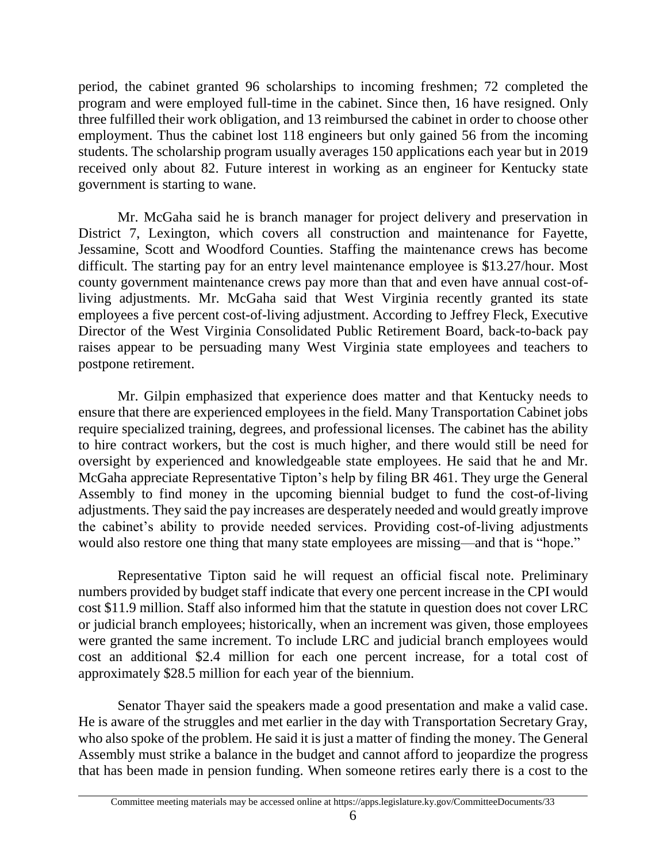period, the cabinet granted 96 scholarships to incoming freshmen; 72 completed the program and were employed full-time in the cabinet. Since then, 16 have resigned. Only three fulfilled their work obligation, and 13 reimbursed the cabinet in order to choose other employment. Thus the cabinet lost 118 engineers but only gained 56 from the incoming students. The scholarship program usually averages 150 applications each year but in 2019 received only about 82. Future interest in working as an engineer for Kentucky state government is starting to wane.

Mr. McGaha said he is branch manager for project delivery and preservation in District 7, Lexington, which covers all construction and maintenance for Fayette, Jessamine, Scott and Woodford Counties. Staffing the maintenance crews has become difficult. The starting pay for an entry level maintenance employee is \$13.27/hour. Most county government maintenance crews pay more than that and even have annual cost-ofliving adjustments. Mr. McGaha said that West Virginia recently granted its state employees a five percent cost-of-living adjustment. According to Jeffrey Fleck, Executive Director of the West Virginia Consolidated Public Retirement Board, back-to-back pay raises appear to be persuading many West Virginia state employees and teachers to postpone retirement.

Mr. Gilpin emphasized that experience does matter and that Kentucky needs to ensure that there are experienced employees in the field. Many Transportation Cabinet jobs require specialized training, degrees, and professional licenses. The cabinet has the ability to hire contract workers, but the cost is much higher, and there would still be need for oversight by experienced and knowledgeable state employees. He said that he and Mr. McGaha appreciate Representative Tipton's help by filing BR 461. They urge the General Assembly to find money in the upcoming biennial budget to fund the cost-of-living adjustments. They said the pay increases are desperately needed and would greatly improve the cabinet's ability to provide needed services. Providing cost-of-living adjustments would also restore one thing that many state employees are missing—and that is "hope."

Representative Tipton said he will request an official fiscal note. Preliminary numbers provided by budget staff indicate that every one percent increase in the CPI would cost \$11.9 million. Staff also informed him that the statute in question does not cover LRC or judicial branch employees; historically, when an increment was given, those employees were granted the same increment. To include LRC and judicial branch employees would cost an additional \$2.4 million for each one percent increase, for a total cost of approximately \$28.5 million for each year of the biennium.

Senator Thayer said the speakers made a good presentation and make a valid case. He is aware of the struggles and met earlier in the day with Transportation Secretary Gray, who also spoke of the problem. He said it is just a matter of finding the money. The General Assembly must strike a balance in the budget and cannot afford to jeopardize the progress that has been made in pension funding. When someone retires early there is a cost to the